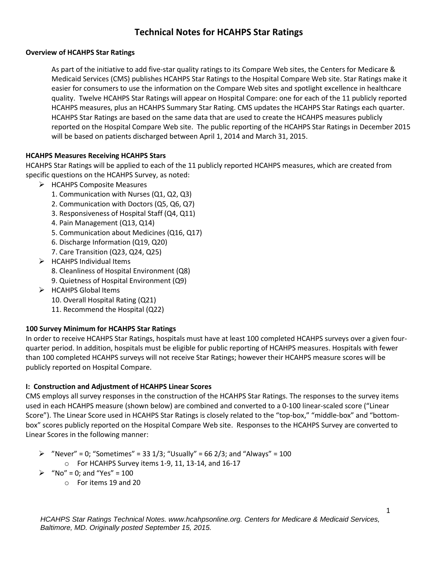# **Technical Notes for HCAHPS Star Ratings**

#### **Overview of HCAHPS Star Ratings**

As part of the initiative to add five-star quality ratings to its Compare Web sites, the Centers for Medicare & Medicaid Services (CMS) publishes HCAHPS Star Ratings to the Hospital Compare Web site. Star Ratings make it easier for consumers to use the information on the Compare Web sites and spotlight excellence in healthcare quality. Twelve HCAHPS Star Ratings will appear on Hospital Compare: one for each of the 11 publicly reported HCAHPS measures, plus an HCAHPS Summary Star Rating. CMS updates the HCAHPS Star Ratings each quarter. HCAHPS Star Ratings are based on the same data that are used to create the HCAHPS measures publicly reported on the Hospital Compare Web site. The public reporting of the HCAHPS Star Ratings in December 2015 will be based on patients discharged between April 1, 2014 and March 31, 2015.

## **HCAHPS Measures Receiving HCAHPS Stars**

HCAHPS Star Ratings will be applied to each of the 11 publicly reported HCAHPS measures, which are created from specific questions on the HCAHPS Survey, as noted:

- $\triangleright$  HCAHPS Composite Measures
	- 1. Communication with Nurses (Q1, Q2, Q3)
	- 2. Communication with Doctors (Q5, Q6, Q7)
	- 3. Responsiveness of Hospital Staff (Q4, Q11)
	- 4. Pain Management (Q13, Q14)
	- 5. Communication about Medicines (Q16, Q17)
	- 6. Discharge Information (Q19, Q20)
	- 7. Care Transition (Q23, Q24, Q25)
- $\triangleright$  HCAHPS Individual Items
	- 8. Cleanliness of Hospital Environment (Q8)
	- 9. Quietness of Hospital Environment (Q9)
- $\triangleright$  HCAHPS Global Items
	- 10. Overall Hospital Rating (Q21)
	- 11. Recommend the Hospital (Q22)

## **100 Survey Minimum for HCAHPS Star Ratings**

In order to receive HCAHPS Star Ratings, hospitals must have at least 100 completed HCAHPS surveys over a given fourquarter period. In addition, hospitals must be eligible for public reporting of HCAHPS measures. Hospitals with fewer than 100 completed HCAHPS surveys will not receive Star Ratings; however their HCAHPS measure scores will be publicly reported on Hospital Compare.

#### **I: Construction and Adjustment of HCAHPS Linear Scores**

CMS employs all survey responses in the construction of the HCAHPS Star Ratings. The responses to the survey items used in each HCAHPS measure (shown below) are combined and converted to a 0-100 linear-scaled score ("Linear Score"). The Linear Score used in HCAHPS Star Ratings is closely related to the "top-box," "middle-box" and "bottombox" scores publicly reported on the Hospital Compare Web site. Responses to the HCAHPS Survey are converted to Linear Scores in the following manner:

- $\triangleright$  "Never" = 0; "Sometimes" = 33 1/3; "Usually" = 66 2/3; and "Always" = 100
	- o For HCAHPS Survey items 1-9, 11, 13-14, and 16-17
- $\triangleright$  "No" = 0; and "Yes" = 100
	- o For items 19 and 20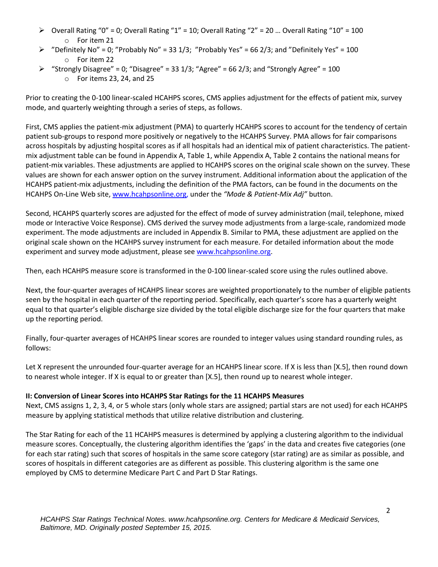- $\triangleright$  Overall Rating "0" = 0; Overall Rating "1" = 10; Overall Rating "2" = 20 ... Overall Rating "10" = 100 o For item 21
- $\triangleright$  "Definitely No" = 0; "Probably No" = 33 1/3; "Probably Yes" = 66 2/3; and "Definitely Yes" = 100 o For item 22
- $\triangleright$  "Strongly Disagree" = 0; "Disagree" = 33 1/3; "Agree" = 66 2/3; and "Strongly Agree" = 100 o For items 23, 24, and 25

Prior to creating the 0-100 linear-scaled HCAHPS scores, CMS applies adjustment for the effects of patient mix, survey mode, and quarterly weighting through a series of steps, as follows.

First, CMS applies the patient-mix adjustment (PMA) to quarterly HCAHPS scores to account for the tendency of certain patient sub-groups to respond more positively or negatively to the HCAHPS Survey. PMA allows for fair comparisons across hospitals by adjusting hospital scores as if all hospitals had an identical mix of patient characteristics. The patientmix adjustment table can be found in Appendix A, Table 1, while Appendix A, Table 2 contains the national means for patient-mix variables. These adjustments are applied to HCAHPS scores on the original scale shown on the survey. These values are shown for each answer option on the survey instrument. Additional information about the application of the HCAHPS patient-mix adjustments, including the definition of the PMA factors, can be found in the documents on the HCAHPS On-Line Web site, [www.hcahpsonline.org,](http://www.hcahpsonline.org/) under the *"Mode & Patient-Mix Adj"* button.

Second, HCAHPS quarterly scores are adjusted for the effect of mode of survey administration (mail, telephone, mixed mode or Interactive Voice Response). CMS derived the survey mode adjustments from a large-scale, randomized mode experiment. The mode adjustments are included in Appendix B. Similar to PMA, these adjustment are applied on the original scale shown on the HCAHPS survey instrument for each measure. For detailed information about the mode experiment and survey mode adjustment, please see [www.hcahpsonline.org.](http://www.hcahpsonline.org/)

Then, each HCAHPS measure score is transformed in the 0-100 linear-scaled score using the rules outlined above.

Next, the four-quarter averages of HCAHPS linear scores are weighted proportionately to the number of eligible patients seen by the hospital in each quarter of the reporting period. Specifically, each quarter's score has a quarterly weight equal to that quarter's eligible discharge size divided by the total eligible discharge size for the four quarters that make up the reporting period.

Finally, four-quarter averages of HCAHPS linear scores are rounded to integer values using standard rounding rules, as follows:

Let X represent the unrounded four-quarter average for an HCAHPS linear score. If X is less than [X.5], then round down to nearest whole integer. If X is equal to or greater than [X.5], then round up to nearest whole integer.

## **II: Conversion of Linear Scores into HCAHPS Star Ratings for the 11 HCAHPS Measures**

Next, CMS assigns 1, 2, 3, 4, or 5 whole stars (only whole stars are assigned; partial stars are not used) for each HCAHPS measure by applying statistical methods that utilize relative distribution and clustering.

The Star Rating for each of the 11 HCAHPS measures is determined by applying a clustering algorithm to the individual measure scores. Conceptually, the clustering algorithm identifies the 'gaps' in the data and creates five categories (one for each star rating) such that scores of hospitals in the same score category (star rating) are as similar as possible, and scores of hospitals in different categories are as different as possible. This clustering algorithm is the same one employed by CMS to determine Medicare Part C and Part D Star Ratings.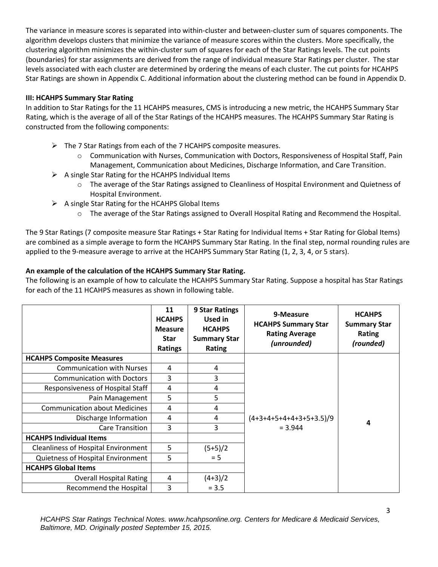The variance in measure scores is separated into within-cluster and between-cluster sum of squares components. The algorithm develops clusters that minimize the variance of measure scores within the clusters. More specifically, the clustering algorithm minimizes the within-cluster sum of squares for each of the Star Ratings levels. The cut points (boundaries) for star assignments are derived from the range of individual measure Star Ratings per cluster. The star levels associated with each cluster are determined by ordering the means of each cluster. The cut points for HCAHPS Star Ratings are shown in Appendix C. Additional information about the clustering method can be found in Appendix D.

# **III: HCAHPS Summary Star Rating**

In addition to Star Ratings for the 11 HCAHPS measures, CMS is introducing a new metric, the HCAHPS Summary Star Rating, which is the average of all of the Star Ratings of the HCAHPS measures. The HCAHPS Summary Star Rating is constructed from the following components:

- $\triangleright$  The 7 Star Ratings from each of the 7 HCAHPS composite measures.
	- o Communication with Nurses, Communication with Doctors, Responsiveness of Hospital Staff, Pain Management, Communication about Medicines, Discharge Information, and Care Transition.
- $\triangleright$  A single Star Rating for the HCAHPS Individual Items
	- o The average of the Star Ratings assigned to Cleanliness of Hospital Environment and Quietness of Hospital Environment.
- $\triangleright$  A single Star Rating for the HCAHPS Global Items
	- o The average of the Star Ratings assigned to Overall Hospital Rating and Recommend the Hospital.

The 9 Star Ratings (7 composite measure Star Ratings + Star Rating for Individual Items + Star Rating for Global Items) are combined as a simple average to form the HCAHPS Summary Star Rating. In the final step, normal rounding rules are applied to the 9-measure average to arrive at the HCAHPS Summary Star Rating (1, 2, 3, 4, or 5 stars).

# **An example of the calculation of the HCAHPS Summary Star Rating.**

The following is an example of how to calculate the HCAHPS Summary Star Rating. Suppose a hospital has Star Ratings for each of the 11 HCAHPS measures as shown in following table.

|                                            | 11<br><b>HCAHPS</b><br><b>Measure</b><br><b>Star</b><br><b>Ratings</b> | 9 Star Ratings<br><b>Used in</b><br><b>HCAHPS</b><br><b>Summary Star</b><br><b>Rating</b> | 9-Measure<br><b>HCAHPS Summary Star</b><br><b>Rating Average</b><br>(unrounded) | <b>HCAHPS</b><br><b>Summary Star</b><br>Rating<br>(rounded) |
|--------------------------------------------|------------------------------------------------------------------------|-------------------------------------------------------------------------------------------|---------------------------------------------------------------------------------|-------------------------------------------------------------|
| <b>HCAHPS Composite Measures</b>           |                                                                        |                                                                                           |                                                                                 |                                                             |
| <b>Communication with Nurses</b>           | 4                                                                      | 4                                                                                         |                                                                                 |                                                             |
| <b>Communication with Doctors</b>          | 3                                                                      | 3                                                                                         |                                                                                 |                                                             |
| Responsiveness of Hospital Staff           | 4                                                                      | $\overline{4}$                                                                            |                                                                                 |                                                             |
| Pain Management                            | 5                                                                      | 5                                                                                         |                                                                                 |                                                             |
| <b>Communication about Medicines</b>       | 4                                                                      | 4                                                                                         |                                                                                 |                                                             |
| Discharge Information                      | 4                                                                      | 4                                                                                         | $(4+3+4+5+4+4+3+5+3.5)/9$                                                       | 4                                                           |
| <b>Care Transition</b>                     | 3                                                                      | $\overline{3}$                                                                            | $= 3.944$                                                                       |                                                             |
| <b>HCAHPS Individual Items</b>             |                                                                        |                                                                                           |                                                                                 |                                                             |
| <b>Cleanliness of Hospital Environment</b> | 5                                                                      | $(5+5)/2$                                                                                 |                                                                                 |                                                             |
| Quietness of Hospital Environment          | 5                                                                      | $= 5$                                                                                     |                                                                                 |                                                             |
| <b>HCAHPS Global Items</b>                 |                                                                        |                                                                                           |                                                                                 |                                                             |
| <b>Overall Hospital Rating</b>             | 4                                                                      | $(4+3)/2$                                                                                 |                                                                                 |                                                             |
| Recommend the Hospital                     | 3                                                                      | $= 3.5$                                                                                   |                                                                                 |                                                             |

*HCAHPS Star Ratings Technical Notes. www.hcahpsonline.org. Centers for Medicare & Medicaid Services, Baltimore, MD. Originally posted September 15, 2015.*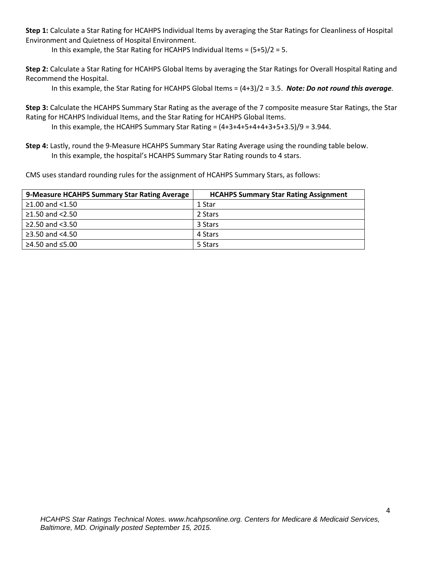**Step 1:** Calculate a Star Rating for HCAHPS Individual Items by averaging the Star Ratings for Cleanliness of Hospital Environment and Quietness of Hospital Environment.

In this example, the Star Rating for HCAHPS Individual Items = (5+5)/2 = 5.

**Step 2:** Calculate a Star Rating for HCAHPS Global Items by averaging the Star Ratings for Overall Hospital Rating and Recommend the Hospital.

In this example, the Star Rating for HCAHPS Global Items = (4+3)/2 = 3.5. *Note: Do not round this average.*

**Step 3:** Calculate the HCAHPS Summary Star Rating as the average of the 7 composite measure Star Ratings, the Star Rating for HCAHPS Individual Items, and the Star Rating for HCAHPS Global Items.

In this example, the HCAHPS Summary Star Rating =  $(4+3+4+5+4+4+3+5+3.5)/9 = 3.944$ .

**Step 4:** Lastly, round the 9-Measure HCAHPS Summary Star Rating Average using the rounding table below. In this example, the hospital's HCAHPS Summary Star Rating rounds to 4 stars.

CMS uses standard rounding rules for the assignment of HCAHPS Summary Stars, as follows:

| 9-Measure HCAHPS Summary Star Rating Average | <b>HCAHPS Summary Star Rating Assignment</b> |
|----------------------------------------------|----------------------------------------------|
| ≥1.00 and $<$ 1.50                           | 1 Star                                       |
| ≥1.50 and $<$ 2.50                           | 2 Stars                                      |
| $\ge$ 2.50 and <3.50                         | 3 Stars                                      |
| ≥3.50 and $<4.50$                            | 4 Stars                                      |
| ≥4.50 and $≤5.00$                            | 5 Stars                                      |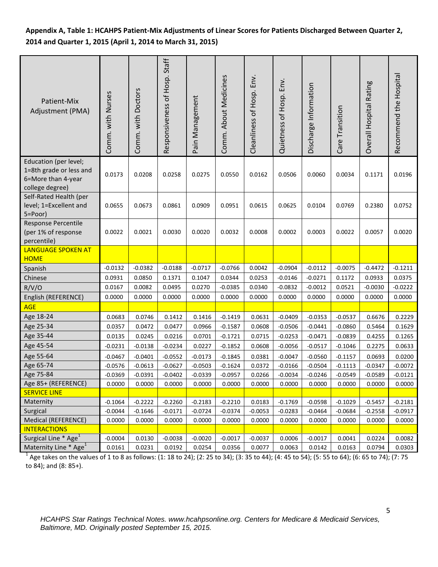# **Appendix A, Table 1: HCAHPS Patient-Mix Adjustments of Linear Scores for Patients Discharged Between Quarter 2, 2014 and Quarter 1, 2015 (April 1, 2014 to March 31, 2015)**

| Patient-Mix<br>Adjustment (PMA)                                                                                                                             | Comm. with Nurses | Comm. with Doctors | Responsiveness of Hosp. Staff | Pain Management | Comm. About Medicines | Cleanliness of Hosp. Env. | Quietness of Hosp. Env. | Discharge Information | Care Transition | Overall Hospital Rating | Recommend the Hospital |
|-------------------------------------------------------------------------------------------------------------------------------------------------------------|-------------------|--------------------|-------------------------------|-----------------|-----------------------|---------------------------|-------------------------|-----------------------|-----------------|-------------------------|------------------------|
| Education (per level;<br>1=8th grade or less and<br>6=More than 4-year<br>college degree)                                                                   | 0.0173            | 0.0208             | 0.0258                        | 0.0275          | 0.0550                | 0.0162                    | 0.0506                  | 0.0060                | 0.0034          | 0.1171                  | 0.0196                 |
| Self-Rated Health (per<br>level; 1=Excellent and<br>5=Poor)                                                                                                 | 0.0655            | 0.0673             | 0.0861                        | 0.0909          | 0.0951                | 0.0615                    | 0.0625                  | 0.0104                | 0.0769          | 0.2380                  | 0.0752                 |
| Response Percentile<br>(per 1% of response<br>percentile)                                                                                                   | 0.0022            | 0.0021             | 0.0030                        | 0.0020          | 0.0032                | 0.0008                    | 0.0002                  | 0.0003                | 0.0022          | 0.0057                  | 0.0020                 |
| <b>LANGUAGE SPOKEN AT</b><br><b>HOME</b>                                                                                                                    |                   |                    |                               |                 |                       |                           |                         |                       |                 |                         |                        |
| Spanish                                                                                                                                                     | $-0.0132$         | $-0.0382$          | $-0.0188$                     | $-0.0717$       | $-0.0766$             | 0.0042                    | $-0.0904$               | $-0.0112$             | $-0.0075$       | $-0.4472$               | $-0.1211$              |
| Chinese                                                                                                                                                     | 0.0931            | 0.0850             | 0.1371                        | 0.1047          | 0.0344                | 0.0253                    | $-0.0146$               | $-0.0271$             | 0.1172          | 0.0933                  | 0.0375                 |
| R/V/O                                                                                                                                                       | 0.0167            | 0.0082             | 0.0495                        | 0.0270          | $-0.0385$             | 0.0340                    | $-0.0832$               | $-0.0012$             | 0.0521          | $-0.0030$               | $-0.0222$              |
| English (REFERENCE)                                                                                                                                         | 0.0000            | 0.0000             | 0.0000                        | 0.0000          | 0.0000                | 0.0000                    | 0.0000                  | 0.0000                | 0.0000          | 0.0000                  | 0.0000                 |
| <b>AGE</b>                                                                                                                                                  |                   |                    |                               |                 |                       |                           |                         |                       |                 |                         |                        |
| Age 18-24                                                                                                                                                   | 0.0683            | 0.0746             | 0.1412                        | 0.1416          | $-0.1419$             | 0.0631                    | $-0.0409$               | $-0.0353$             | $-0.0537$       | 0.6676                  | 0.2229                 |
| Age 25-34                                                                                                                                                   | 0.0357            | 0.0472             | 0.0477                        | 0.0966          | $-0.1587$             | 0.0608                    | $-0.0506$               | $-0.0441$             | $-0.0860$       | 0.5464                  | 0.1629                 |
| Age 35-44                                                                                                                                                   | 0.0135            | 0.0245             | 0.0216                        | 0.0701          | $-0.1721$             | 0.0715                    | $-0.0253$               | $-0.0471$             | $-0.0839$       | 0.4255                  | 0.1265                 |
| Age 45-54                                                                                                                                                   | $-0.0231$         | $-0.0138$          | $-0.0234$                     | 0.0227          | $-0.1852$             | 0.0608                    | $-0.0056$               | $-0.0517$             | $-0.1046$       | 0.2275                  | 0.0633                 |
| Age 55-64                                                                                                                                                   | $-0.0467$         | $-0.0401$          | $-0.0552$                     | $-0.0173$       | $-0.1845$             | 0.0381                    | $-0.0047$               | $-0.0560$             | $-0.1157$       | 0.0693                  | 0.0200                 |
| Age 65-74                                                                                                                                                   | $-0.0576$         | $-0.0613$          | $-0.0627$                     | $-0.0503$       | $-0.1624$             | 0.0372                    | $-0.0166$               | $-0.0504$             | $-0.1113$       | $-0.0347$               | $-0.0072$              |
| Age 75-84                                                                                                                                                   | $-0.0369$         | $-0.0391$          | $-0.0402$                     | $-0.0339$       | $-0.0957$             | 0.0266                    | $-0.0034$               | $-0.0246$             | $-0.0549$       | $-0.0589$               | $-0.0121$              |
| Age 85+ (REFERENCE)                                                                                                                                         | 0.0000            | 0.0000             | 0.0000                        | 0.0000          | 0.0000                | 0.0000                    | 0.0000                  | 0.0000                | 0.0000          | 0.0000                  | 0.0000                 |
| <b>SERVICE LINE</b>                                                                                                                                         |                   |                    |                               |                 |                       |                           |                         |                       |                 |                         |                        |
| Maternity                                                                                                                                                   | $-0.1064$         | $-0.2222$          | $-0.2260$                     | $-0.2183$       | $-0.2210$             | 0.0183                    | $-0.1769$               | $-0.0598$             | $-0.1029$       | $-0.5457$               | $-0.2181$              |
| Surgical                                                                                                                                                    | $-0.0044$         | $-0.1646$          | $-0.0171$                     | $-0.0724$       | $-0.0374$             | $-0.0053$                 | $-0.0283$               | $-0.0464$             | $-0.0684$       | $-0.2558$               | $-0.0917$              |
| Medical (REFERENCE)                                                                                                                                         | 0.0000            | 0.0000             | 0.0000                        | 0.0000          | 0.0000                | 0.0000                    | 0.0000                  | 0.0000                | 0.0000          | 0.0000                  | 0.0000                 |
| <b>INTERACTIONS</b>                                                                                                                                         |                   |                    |                               |                 |                       |                           |                         |                       |                 |                         |                        |
| Surgical Line * Age <sup>1</sup>                                                                                                                            | $-0.0004$         | 0.0130             | $-0.0038$                     | $-0.0020$       | $-0.0017$             | $-0.0037$                 | 0.0006                  | $-0.0017$             | 0.0041          | 0.0224                  | 0.0082                 |
| Maternity Line * Age <sup>1</sup>                                                                                                                           | 0.0161            | 0.0231             | 0.0192                        | 0.0254          | 0.0356                | 0.0077                    | 0.0063                  | 0.0142                | 0.0163          | 0.0794                  | 0.0303                 |
| <sup>1</sup> Age takes on the values of 1 to 8 as follows: (1: 18 to 24); (2: 25 to 34); (3: 35 to 44); (4: 45 to 54); (5: 55 to 64); (6: 65 to 74); (7: 75 |                   |                    |                               |                 |                       |                           |                         |                       |                 |                         |                        |

to 84); and (8: 85+).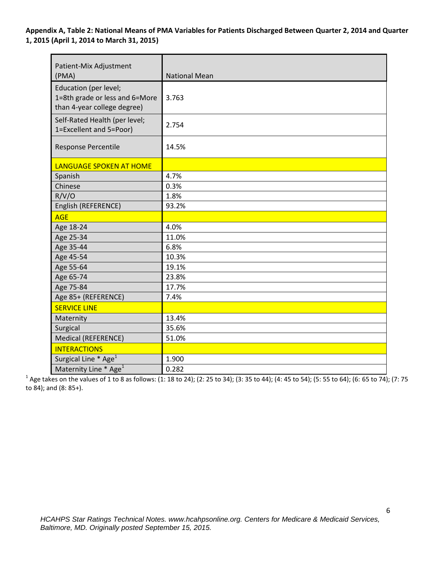**Appendix A, Table 2: National Means of PMA Variables for Patients Discharged Between Quarter 2, 2014 and Quarter 1, 2015 (April 1, 2014 to March 31, 2015)**

| Patient-Mix Adjustment<br>(PMA)                                                        | <b>National Mean</b> |
|----------------------------------------------------------------------------------------|----------------------|
| Education (per level;<br>1=8th grade or less and 6=More<br>than 4-year college degree) | 3.763                |
| Self-Rated Health (per level;<br>1=Excellent and 5=Poor)                               | 2.754                |
| <b>Response Percentile</b>                                                             | 14.5%                |
| LANGUAGE SPOKEN AT HOME                                                                |                      |
| Spanish                                                                                | 4.7%                 |
| Chinese                                                                                | 0.3%                 |
| R/V/O                                                                                  | 1.8%                 |
| English (REFERENCE)                                                                    | 93.2%                |
| <b>AGE</b>                                                                             |                      |
| Age 18-24                                                                              | 4.0%                 |
| Age 25-34                                                                              | 11.0%                |
| Age 35-44                                                                              | 6.8%                 |
| Age 45-54                                                                              | 10.3%                |
| Age 55-64                                                                              | 19.1%                |
| Age 65-74                                                                              | 23.8%                |
| Age 75-84                                                                              | 17.7%                |
| Age 85+ (REFERENCE)                                                                    | 7.4%                 |
| <b>SERVICE LINE</b>                                                                    |                      |
| Maternity                                                                              | 13.4%                |
| Surgical                                                                               | 35.6%                |
| Medical (REFERENCE)                                                                    | 51.0%                |
| <b>INTERACTIONS</b>                                                                    |                      |
| Surgical Line * Age <sup>1</sup>                                                       | 1.900                |
| Maternity Line * Age <sup>1</sup>                                                      | 0.282                |

<sup>1</sup> Age takes on the values of 1 to 8 as follows: (1: 18 to 24); (2: 25 to 34); (3: 35 to 44); (4: 45 to 54); (5: 55 to 64); (6: 65 to 74); (7: 75 to 84); and (8: 85+).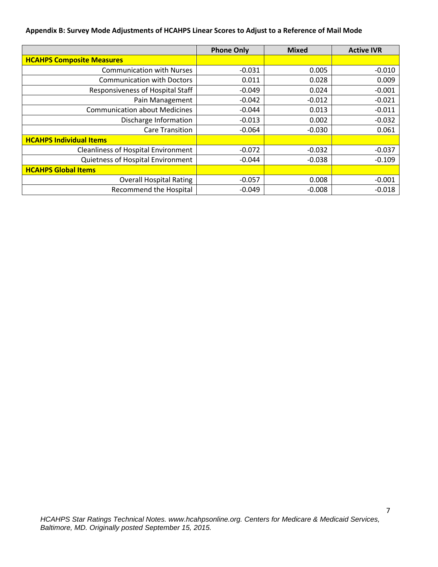#### **Appendix B: Survey Mode Adjustments of HCAHPS Linear Scores to Adjust to a Reference of Mail Mode**

|                                            | <b>Phone Only</b> | <b>Mixed</b> | <b>Active IVR</b> |
|--------------------------------------------|-------------------|--------------|-------------------|
| <b>HCAHPS Composite Measures</b>           |                   |              |                   |
| <b>Communication with Nurses</b>           | $-0.031$          | 0.005        | $-0.010$          |
| <b>Communication with Doctors</b>          | 0.011             | 0.028        | 0.009             |
| Responsiveness of Hospital Staff           | $-0.049$          | 0.024        | $-0.001$          |
| Pain Management                            | $-0.042$          | $-0.012$     | $-0.021$          |
| <b>Communication about Medicines</b>       | $-0.044$          | 0.013        | $-0.011$          |
| Discharge Information                      | $-0.013$          | 0.002        | $-0.032$          |
| <b>Care Transition</b>                     | $-0.064$          | $-0.030$     | 0.061             |
| <b>HCAHPS Individual Items</b>             |                   |              |                   |
| <b>Cleanliness of Hospital Environment</b> | $-0.072$          | $-0.032$     | $-0.037$          |
| Quietness of Hospital Environment          | $-0.044$          | $-0.038$     | $-0.109$          |
| <b>HCAHPS Global Items</b>                 |                   |              |                   |
| <b>Overall Hospital Rating</b>             | $-0.057$          | 0.008        | $-0.001$          |
| <b>Recommend the Hospital</b>              | $-0.049$          | $-0.008$     | $-0.018$          |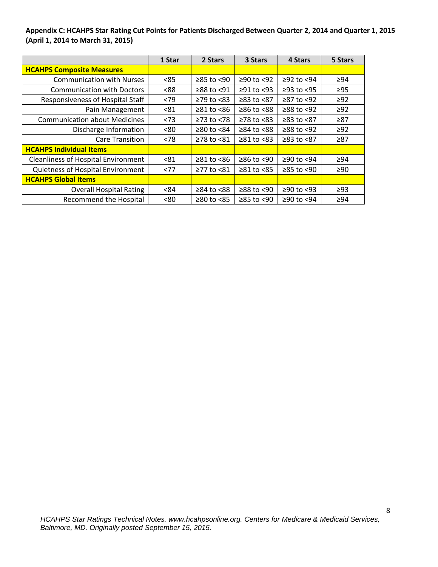**Appendix C: HCAHPS Star Rating Cut Points for Patients Discharged Between Quarter 2, 2014 and Quarter 1, 2015 (April 1, 2014 to March 31, 2015)**

|                                            | 1 Star | 2 Stars          | 3 Stars          | 4 Stars        | 5 Stars   |
|--------------------------------------------|--------|------------------|------------------|----------------|-----------|
| <b>HCAHPS Composite Measures</b>           |        |                  |                  |                |           |
| <b>Communication with Nurses</b>           | < 85   | $≥85$ to <90     | ≥90 to <92       | $≥92$ to <94   | $\geq 94$ |
| <b>Communication with Doctors</b>          | < 88   | ≥88 to <91       | $\geq$ 91 to <93 | $≥93$ to $<95$ | $\geq 95$ |
| Responsiveness of Hospital Staff           | < 79   | $\geq$ 79 to <83 | $≥83$ to $<87$   | ≥87 to <92     | $\geq$ 92 |
| Pain Management                            | < 81   | $≥81$ to $≤86$   | $≥86$ to <88     | $≥88$ to $≤92$ | $\geq 92$ |
| <b>Communication about Medicines</b>       | < 73   | $≥73$ to <78     | $\geq$ 78 to <83 | ≥83 to <87     | $\geq 87$ |
| Discharge Information                      | <80    | $≥80$ to $<84$   | $\geq 84$ to <88 | $≥88$ to <92   | $\geq$ 92 |
| <b>Care Transition</b>                     | < 78   | ≥78 to <81       | $\geq 81$ to <83 | ≥83 to <87     | $\geq 87$ |
| <b>HCAHPS Individual Items</b>             |        |                  |                  |                |           |
| <b>Cleanliness of Hospital Environment</b> | < 81   | $≥81$ to $≤86$   | $≥86$ to <90     | $≥90$ to <94   | >94       |
| Quietness of Hospital Environment          | <77    | ≥77 to <81       | $\geq 81$ to <85 | $≥85$ to <90   | $\geq 90$ |
| <b>HCAHPS Global Items</b>                 |        |                  |                  |                |           |
| <b>Overall Hospital Rating</b>             | < 84   | ≥84 to <88       | $≥88$ to $≤90$   | $≥90$ to <93   | $\geq$ 93 |
| <b>Recommend the Hospital</b>              | < 80   | $≥80$ to $<85$   | ≥85 to <90       | ≥90 to <94     | $\geq 94$ |

8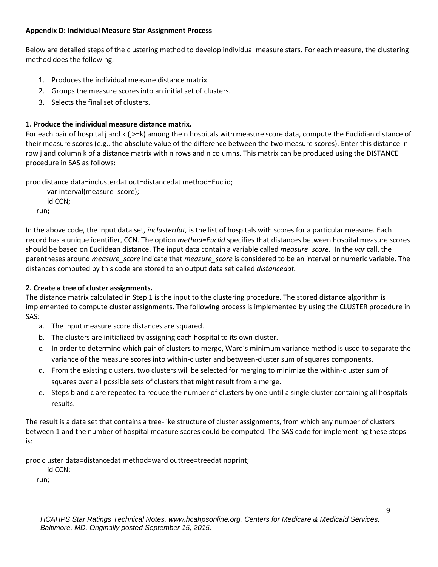### **Appendix D: Individual Measure Star Assignment Process**

Below are detailed steps of the clustering method to develop individual measure stars. For each measure, the clustering method does the following:

- 1. Produces the individual measure distance matrix.
- 2. Groups the measure scores into an initial set of clusters.
- 3. Selects the final set of clusters.

# **1. Produce the individual measure distance matrix.**

For each pair of hospital j and k (j>=k) among the n hospitals with measure score data, compute the Euclidian distance of their measure scores (e.g., the absolute value of the difference between the two measure scores). Enter this distance in row j and column k of a distance matrix with n rows and n columns. This matrix can be produced using the DISTANCE procedure in SAS as follows:

proc distance data=inclusterdat out=distancedat method=Euclid;

```
 var interval(measure_score);
   id CCN;
run;
```
In the above code, the input data set, *inclusterdat,* is the list of hospitals with scores for a particular measure. Each record has a unique identifier, CCN. The option *method=Euclid* specifies that distances between hospital measure scores should be based on Euclidean distance. The input data contain a variable called *measure\_score.* In the *var* call, the parentheses around *measure\_score* indicate that *measure\_score* is considered to be an interval or numeric variable. The distances computed by this code are stored to an output data set called *distancedat.*

# **2. Create a tree of cluster assignments.**

The distance matrix calculated in Step 1 is the input to the clustering procedure. The stored distance algorithm is implemented to compute cluster assignments. The following process is implemented by using the CLUSTER procedure in SAS:

- a. The input measure score distances are squared.
- b. The clusters are initialized by assigning each hospital to its own cluster.
- c. In order to determine which pair of clusters to merge, Ward's minimum variance method is used to separate the variance of the measure scores into within-cluster and between-cluster sum of squares components.
- d. From the existing clusters, two clusters will be selected for merging to minimize the within-cluster sum of squares over all possible sets of clusters that might result from a merge.
- e. Steps b and c are repeated to reduce the number of clusters by one until a single cluster containing all hospitals results.

The result is a data set that contains a tree-like structure of cluster assignments, from which any number of clusters between 1 and the number of hospital measure scores could be computed. The SAS code for implementing these steps is:

proc cluster data=distancedat method=ward outtree=treedat noprint;

id CCN;

run;